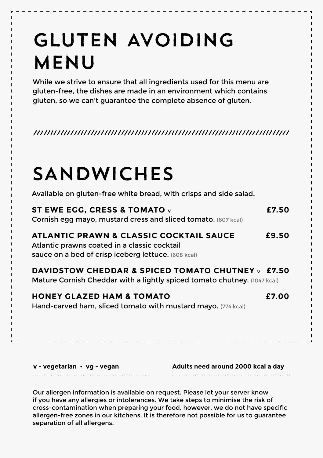### GLUTEN AVOIDING MENU

While we strive to ensure that all ingredients used for this menu are gluten-free, the dishes are made in an environment which contains gluten, so we can't guarantee the complete absence of gluten.

## SANDWICHES

Available on gluten-free white bread, with crisps and side salad.

| ST EWE EGG. CRESS & TOMATO v<br>Cornish egg mayo, mustard cress and sliced tomato. (807 kcal)                                                  | £7.50 |
|------------------------------------------------------------------------------------------------------------------------------------------------|-------|
| ATLANTIC PRAWN & CLASSIC COCKTAIL SAUCE<br>Atlantic prawns coated in a classic cocktail<br>sauce on a bed of crisp iceberg lettuce. (608 kcal) | £9.50 |
| DAVIDSTOW CHEDDAR & SPICED TOMATO CHUTNEY $\vee$ £7.50<br>Mature Cornish Cheddar with a lightly spiced tomato chutney. (1047 kcal)             |       |
| <b>HONEY GLAZED HAM &amp; TOMATO</b><br>Hand-carved ham, sliced tomato with mustard mayo. (774 kcal)                                           | £7.00 |
|                                                                                                                                                |       |

| v - vegetarian • vg - vegan | Adults need around 2000 kcal a day |
|-----------------------------|------------------------------------|
|                             |                                    |

Our allergen information is available on request. Please let your server know if you have any allergies or intolerances. We take steps to minimise the risk of cross-contamination when preparing your food, however, we do not have specific allergen-free zones in our kitchens. It is therefore not possible for us to guarantee separation of all allergens.